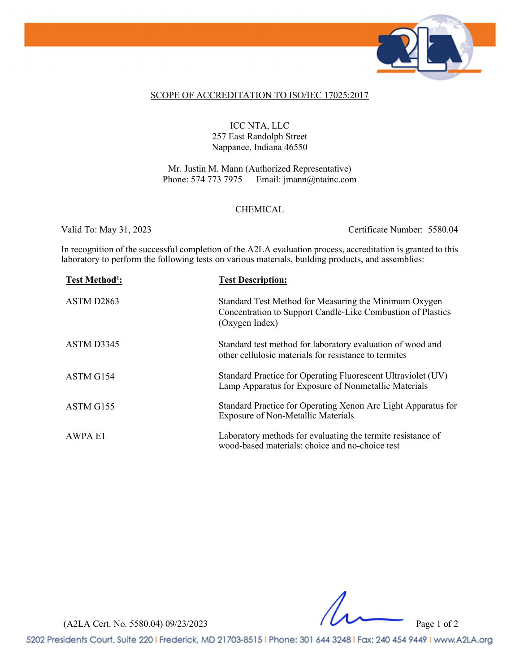

#### SCOPE OF ACCREDITATION TO ISO/IEC 17025:2017

## ICC NTA, LLC 257 East Randolph Street Nappanee, Indiana 46550

Mr. Justin M. Mann (Authorized Representative) Phone: 574 773 7975 Email: jmann@ntainc.com

#### CHEMICAL

Valid To: May 31, 2023 Certificate Number: 5580.04

In recognition of the successful completion of the A2LA evaluation process, accreditation is granted to this laboratory to perform the following tests on various materials, building products, and assemblies:

| Test Method <sup>1</sup> : | <b>Test Description:</b>                                                                                                               |
|----------------------------|----------------------------------------------------------------------------------------------------------------------------------------|
| ASTM D <sub>2863</sub>     | Standard Test Method for Measuring the Minimum Oxygen<br>Concentration to Support Candle-Like Combustion of Plastics<br>(Oxygen Index) |
| ASTM D3345                 | Standard test method for laboratory evaluation of wood and<br>other cellulosic materials for resistance to termites                    |
| ASTM G154                  | Standard Practice for Operating Fluorescent Ultraviolet (UV)<br>Lamp Apparatus for Exposure of Nonmetallic Materials                   |
| ASTM G155                  | Standard Practice for Operating Xenon Arc Light Apparatus for<br><b>Exposure of Non-Metallic Materials</b>                             |
| <b>AWPA E1</b>             | Laboratory methods for evaluating the termite resistance of<br>wood-based materials: choice and no-choice test                         |

(A2LA Cert. No. 5580.04) 09/23/2023 Page 1 of 2

5202 Presidents Court, Suite 220 | Frederick, MD 21703-8515 | Phone: 301 644 3248 | Fax: 240 454 9449 | www.A2LA.org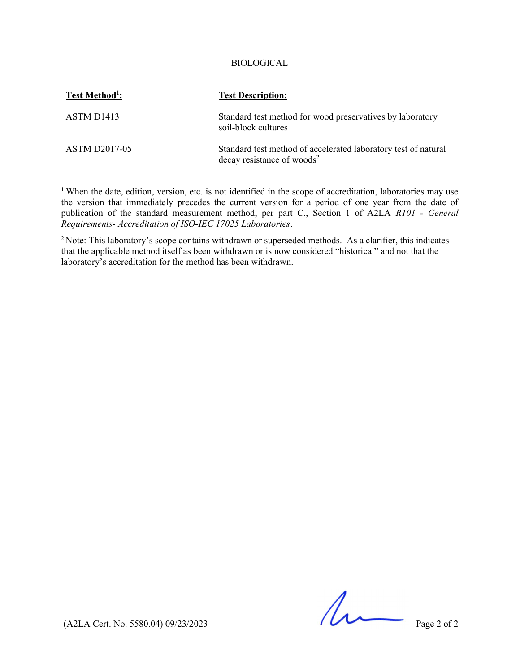### BIOLOGICAL

| Test Method <sup>1</sup> : | <b>Test Description:</b>                                                                                 |
|----------------------------|----------------------------------------------------------------------------------------------------------|
| ASTM D <sub>1413</sub>     | Standard test method for wood preservatives by laboratory<br>soil-block cultures                         |
| <b>ASTM D2017-05</b>       | Standard test method of accelerated laboratory test of natural<br>decay resistance of woods <sup>2</sup> |

<sup>1</sup> When the date, edition, version, etc. is not identified in the scope of accreditation, laboratories may use the version that immediately precedes the current version for a period of one year from the date of publication of the standard measurement method, per part C., Section 1 of A2LA R101 - General Requirements- Accreditation of ISO-IEC 17025 Laboratories.

<sup>2</sup> Note: This laboratory's scope contains withdrawn or superseded methods. As a clarifier, this indicates that the applicable method itself as been withdrawn or is now considered "historical" and not that the laboratory's accreditation for the method has been withdrawn.

 $(42LA$  Cert. No. 5580.04) 09/23/2023